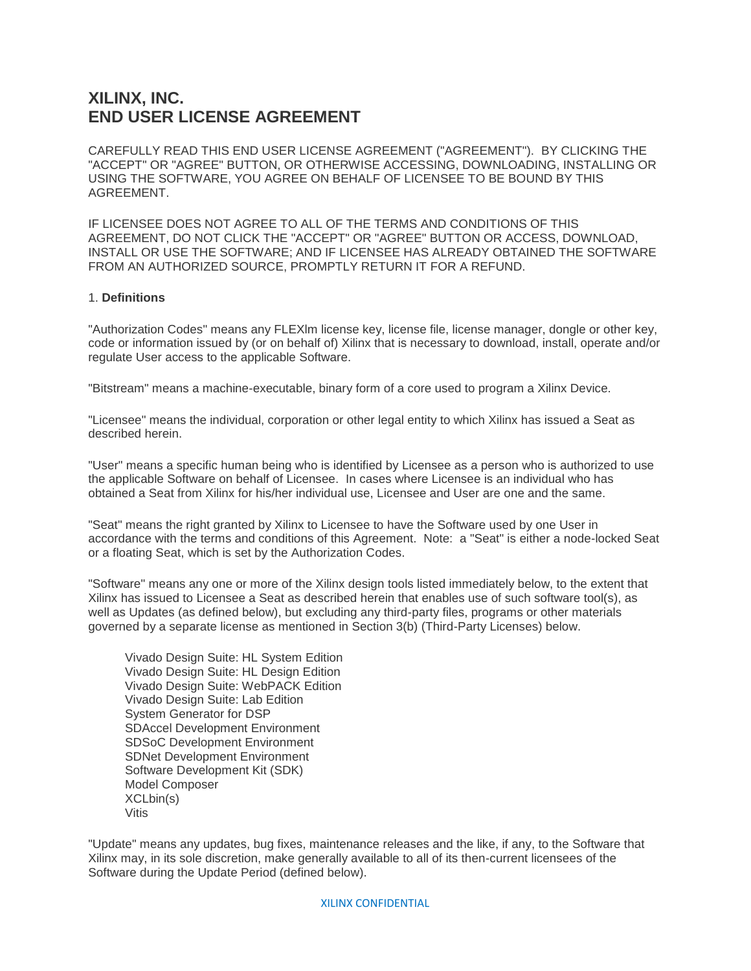# **XILINX, INC. END USER LICENSE AGREEMENT**

CAREFULLY READ THIS END USER LICENSE AGREEMENT ("AGREEMENT"). BY CLICKING THE "ACCEPT" OR "AGREE" BUTTON, OR OTHERWISE ACCESSING, DOWNLOADING, INSTALLING OR USING THE SOFTWARE, YOU AGREE ON BEHALF OF LICENSEE TO BE BOUND BY THIS AGREEMENT.

IF LICENSEE DOES NOT AGREE TO ALL OF THE TERMS AND CONDITIONS OF THIS AGREEMENT, DO NOT CLICK THE "ACCEPT" OR "AGREE" BUTTON OR ACCESS, DOWNLOAD, INSTALL OR USE THE SOFTWARE; AND IF LICENSEE HAS ALREADY OBTAINED THE SOFTWARE FROM AN AUTHORIZED SOURCE, PROMPTLY RETURN IT FOR A REFUND.

## 1. **Definitions**

"Authorization Codes" means any FLEXlm license key, license file, license manager, dongle or other key, code or information issued by (or on behalf of) Xilinx that is necessary to download, install, operate and/or regulate User access to the applicable Software.

"Bitstream" means a machine-executable, binary form of a core used to program a Xilinx Device.

"Licensee" means the individual, corporation or other legal entity to which Xilinx has issued a Seat as described herein.

"User" means a specific human being who is identified by Licensee as a person who is authorized to use the applicable Software on behalf of Licensee. In cases where Licensee is an individual who has obtained a Seat from Xilinx for his/her individual use, Licensee and User are one and the same.

"Seat" means the right granted by Xilinx to Licensee to have the Software used by one User in accordance with the terms and conditions of this Agreement. Note: a "Seat" is either a node-locked Seat or a floating Seat, which is set by the Authorization Codes.

"Software" means any one or more of the Xilinx design tools listed immediately below, to the extent that Xilinx has issued to Licensee a Seat as described herein that enables use of such software tool(s), as well as Updates (as defined below), but excluding any third-party files, programs or other materials governed by a separate license as mentioned in Section 3(b) (Third-Party Licenses) below.

Vivado Design Suite: HL System Edition Vivado Design Suite: HL Design Edition Vivado Design Suite: WebPACK Edition Vivado Design Suite: Lab Edition System Generator for DSP SDAccel Development Environment SDSoC Development Environment SDNet Development Environment Software Development Kit (SDK) Model Composer XCLbin(s) Vitis

"Update" means any updates, bug fixes, maintenance releases and the like, if any, to the Software that Xilinx may, in its sole discretion, make generally available to all of its then-current licensees of the Software during the Update Period (defined below).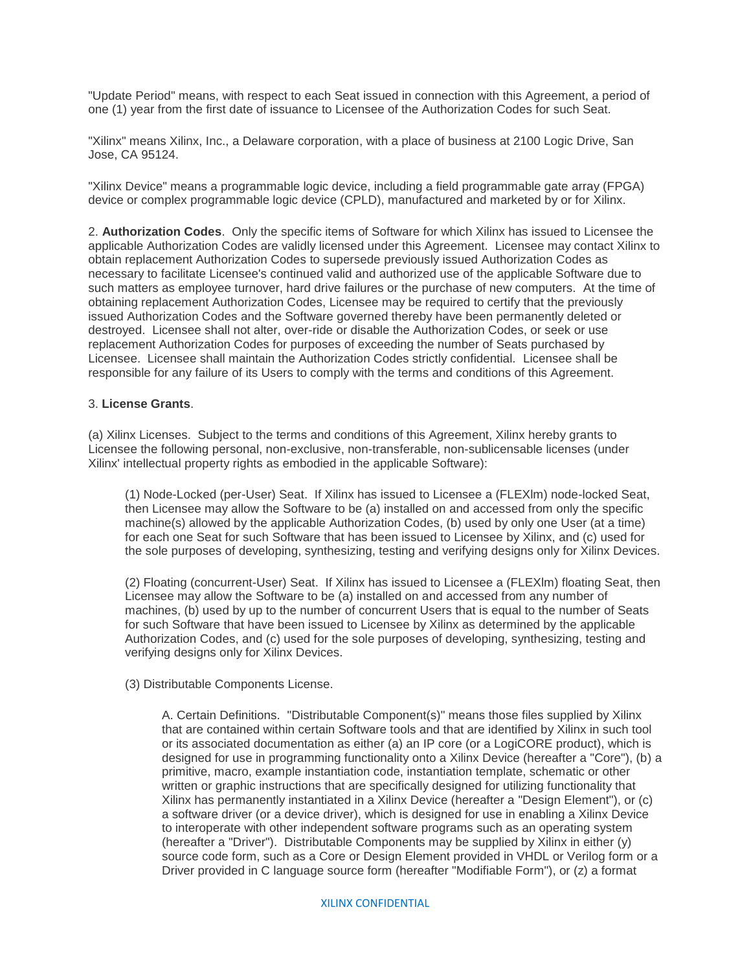"Update Period" means, with respect to each Seat issued in connection with this Agreement, a period of one (1) year from the first date of issuance to Licensee of the Authorization Codes for such Seat.

"Xilinx" means Xilinx, Inc., a Delaware corporation, with a place of business at 2100 Logic Drive, San Jose, CA 95124.

"Xilinx Device" means a programmable logic device, including a field programmable gate array (FPGA) device or complex programmable logic device (CPLD), manufactured and marketed by or for Xilinx.

2. **Authorization Codes**. Only the specific items of Software for which Xilinx has issued to Licensee the applicable Authorization Codes are validly licensed under this Agreement. Licensee may contact Xilinx to obtain replacement Authorization Codes to supersede previously issued Authorization Codes as necessary to facilitate Licensee's continued valid and authorized use of the applicable Software due to such matters as employee turnover, hard drive failures or the purchase of new computers. At the time of obtaining replacement Authorization Codes, Licensee may be required to certify that the previously issued Authorization Codes and the Software governed thereby have been permanently deleted or destroyed. Licensee shall not alter, over-ride or disable the Authorization Codes, or seek or use replacement Authorization Codes for purposes of exceeding the number of Seats purchased by Licensee. Licensee shall maintain the Authorization Codes strictly confidential. Licensee shall be responsible for any failure of its Users to comply with the terms and conditions of this Agreement.

### 3. **License Grants**.

(a) Xilinx Licenses. Subject to the terms and conditions of this Agreement, Xilinx hereby grants to Licensee the following personal, non-exclusive, non-transferable, non-sublicensable licenses (under Xilinx' intellectual property rights as embodied in the applicable Software):

(1) Node-Locked (per-User) Seat. If Xilinx has issued to Licensee a (FLEXlm) node-locked Seat, then Licensee may allow the Software to be (a) installed on and accessed from only the specific machine(s) allowed by the applicable Authorization Codes, (b) used by only one User (at a time) for each one Seat for such Software that has been issued to Licensee by Xilinx, and (c) used for the sole purposes of developing, synthesizing, testing and verifying designs only for Xilinx Devices.

(2) Floating (concurrent-User) Seat. If Xilinx has issued to Licensee a (FLEXlm) floating Seat, then Licensee may allow the Software to be (a) installed on and accessed from any number of machines, (b) used by up to the number of concurrent Users that is equal to the number of Seats for such Software that have been issued to Licensee by Xilinx as determined by the applicable Authorization Codes, and (c) used for the sole purposes of developing, synthesizing, testing and verifying designs only for Xilinx Devices.

(3) Distributable Components License.

A. Certain Definitions. "Distributable Component(s)" means those files supplied by Xilinx that are contained within certain Software tools and that are identified by Xilinx in such tool or its associated documentation as either (a) an IP core (or a LogiCORE product), which is designed for use in programming functionality onto a Xilinx Device (hereafter a "Core"), (b) a primitive, macro, example instantiation code, instantiation template, schematic or other written or graphic instructions that are specifically designed for utilizing functionality that Xilinx has permanently instantiated in a Xilinx Device (hereafter a "Design Element"), or (c) a software driver (or a device driver), which is designed for use in enabling a Xilinx Device to interoperate with other independent software programs such as an operating system (hereafter a "Driver"). Distributable Components may be supplied by Xilinx in either (y) source code form, such as a Core or Design Element provided in VHDL or Verilog form or a Driver provided in C language source form (hereafter "Modifiable Form"), or (z) a format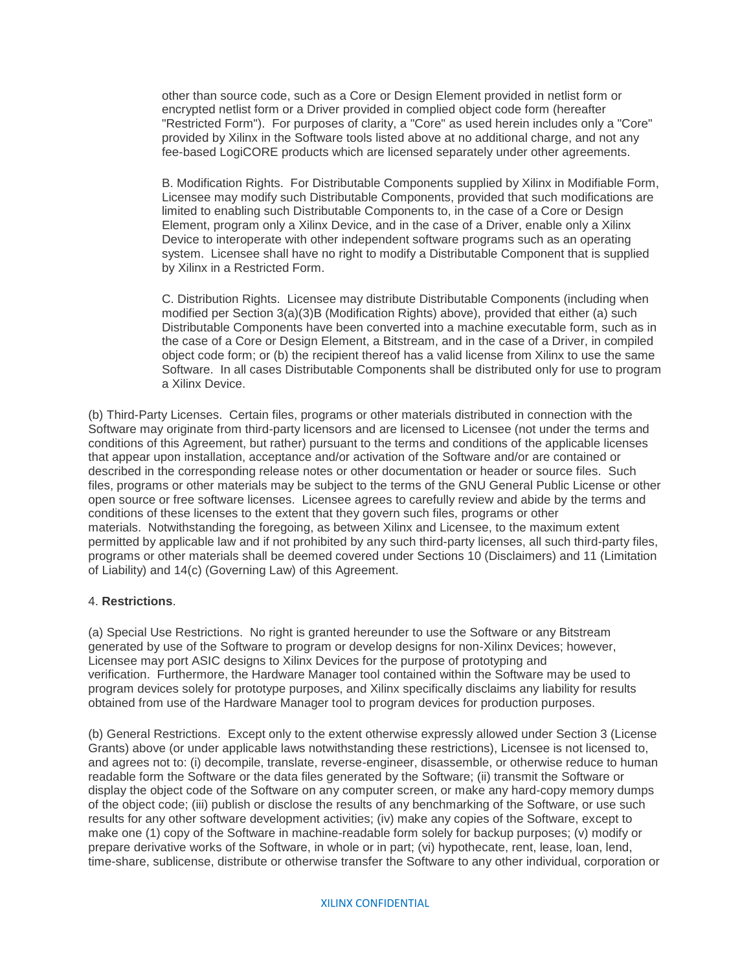other than source code, such as a Core or Design Element provided in netlist form or encrypted netlist form or a Driver provided in complied object code form (hereafter "Restricted Form"). For purposes of clarity, a "Core" as used herein includes only a "Core" provided by Xilinx in the Software tools listed above at no additional charge, and not any fee-based LogiCORE products which are licensed separately under other agreements.

B. Modification Rights. For Distributable Components supplied by Xilinx in Modifiable Form, Licensee may modify such Distributable Components, provided that such modifications are limited to enabling such Distributable Components to, in the case of a Core or Design Element, program only a Xilinx Device, and in the case of a Driver, enable only a Xilinx Device to interoperate with other independent software programs such as an operating system. Licensee shall have no right to modify a Distributable Component that is supplied by Xilinx in a Restricted Form.

C. Distribution Rights. Licensee may distribute Distributable Components (including when modified per Section 3(a)(3)B (Modification Rights) above), provided that either (a) such Distributable Components have been converted into a machine executable form, such as in the case of a Core or Design Element, a Bitstream, and in the case of a Driver, in compiled object code form; or (b) the recipient thereof has a valid license from Xilinx to use the same Software. In all cases Distributable Components shall be distributed only for use to program a Xilinx Device.

(b) Third-Party Licenses. Certain files, programs or other materials distributed in connection with the Software may originate from third-party licensors and are licensed to Licensee (not under the terms and conditions of this Agreement, but rather) pursuant to the terms and conditions of the applicable licenses that appear upon installation, acceptance and/or activation of the Software and/or are contained or described in the corresponding release notes or other documentation or header or source files. Such files, programs or other materials may be subject to the terms of the GNU General Public License or other open source or free software licenses. Licensee agrees to carefully review and abide by the terms and conditions of these licenses to the extent that they govern such files, programs or other materials. Notwithstanding the foregoing, as between Xilinx and Licensee, to the maximum extent permitted by applicable law and if not prohibited by any such third-party licenses, all such third-party files, programs or other materials shall be deemed covered under Sections 10 (Disclaimers) and 11 (Limitation of Liability) and 14(c) (Governing Law) of this Agreement.

## 4. **Restrictions**.

(a) Special Use Restrictions. No right is granted hereunder to use the Software or any Bitstream generated by use of the Software to program or develop designs for non-Xilinx Devices; however, Licensee may port ASIC designs to Xilinx Devices for the purpose of prototyping and verification. Furthermore, the Hardware Manager tool contained within the Software may be used to program devices solely for prototype purposes, and Xilinx specifically disclaims any liability for results obtained from use of the Hardware Manager tool to program devices for production purposes.

(b) General Restrictions. Except only to the extent otherwise expressly allowed under Section 3 (License Grants) above (or under applicable laws notwithstanding these restrictions), Licensee is not licensed to, and agrees not to: (i) decompile, translate, reverse-engineer, disassemble, or otherwise reduce to human readable form the Software or the data files generated by the Software; (ii) transmit the Software or display the object code of the Software on any computer screen, or make any hard-copy memory dumps of the object code; (iii) publish or disclose the results of any benchmarking of the Software, or use such results for any other software development activities; (iv) make any copies of the Software, except to make one (1) copy of the Software in machine-readable form solely for backup purposes; (v) modify or prepare derivative works of the Software, in whole or in part; (vi) hypothecate, rent, lease, loan, lend, time-share, sublicense, distribute or otherwise transfer the Software to any other individual, corporation or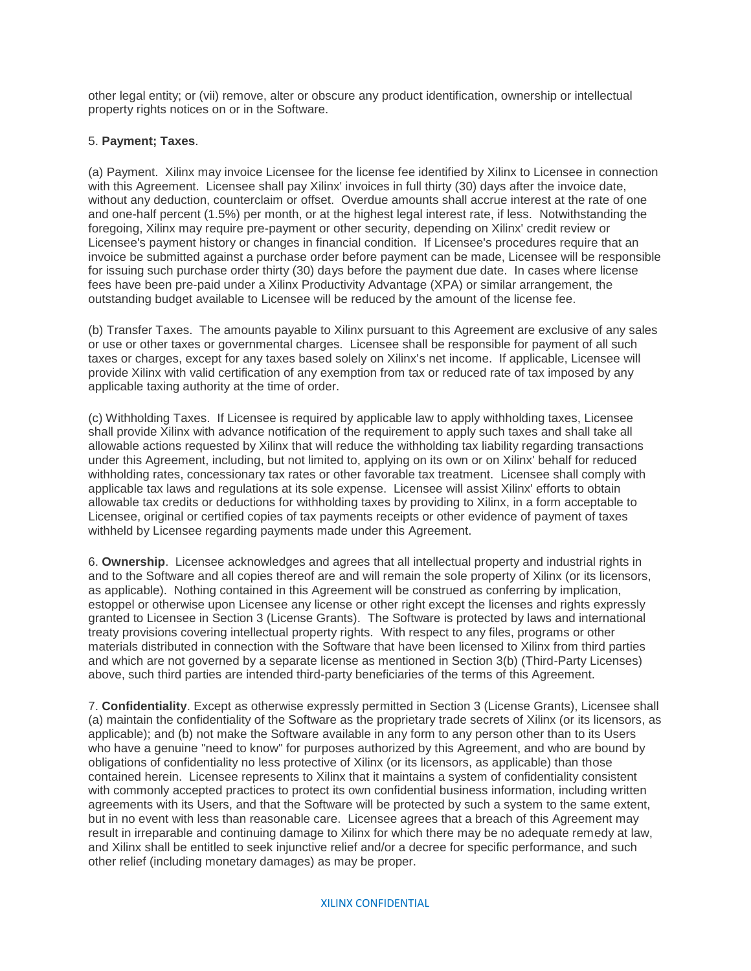other legal entity; or (vii) remove, alter or obscure any product identification, ownership or intellectual property rights notices on or in the Software.

# 5. **Payment; Taxes**.

(a) Payment. Xilinx may invoice Licensee for the license fee identified by Xilinx to Licensee in connection with this Agreement. Licensee shall pay Xilinx' invoices in full thirty (30) days after the invoice date, without any deduction, counterclaim or offset. Overdue amounts shall accrue interest at the rate of one and one-half percent (1.5%) per month, or at the highest legal interest rate, if less. Notwithstanding the foregoing, Xilinx may require pre-payment or other security, depending on Xilinx' credit review or Licensee's payment history or changes in financial condition. If Licensee's procedures require that an invoice be submitted against a purchase order before payment can be made, Licensee will be responsible for issuing such purchase order thirty (30) days before the payment due date. In cases where license fees have been pre-paid under a Xilinx Productivity Advantage (XPA) or similar arrangement, the outstanding budget available to Licensee will be reduced by the amount of the license fee.

(b) Transfer Taxes. The amounts payable to Xilinx pursuant to this Agreement are exclusive of any sales or use or other taxes or governmental charges. Licensee shall be responsible for payment of all such taxes or charges, except for any taxes based solely on Xilinx's net income. If applicable, Licensee will provide Xilinx with valid certification of any exemption from tax or reduced rate of tax imposed by any applicable taxing authority at the time of order.

(c) Withholding Taxes. If Licensee is required by applicable law to apply withholding taxes, Licensee shall provide Xilinx with advance notification of the requirement to apply such taxes and shall take all allowable actions requested by Xilinx that will reduce the withholding tax liability regarding transactions under this Agreement, including, but not limited to, applying on its own or on Xilinx' behalf for reduced withholding rates, concessionary tax rates or other favorable tax treatment. Licensee shall comply with applicable tax laws and regulations at its sole expense. Licensee will assist Xilinx' efforts to obtain allowable tax credits or deductions for withholding taxes by providing to Xilinx, in a form acceptable to Licensee, original or certified copies of tax payments receipts or other evidence of payment of taxes withheld by Licensee regarding payments made under this Agreement.

6. **Ownership**. Licensee acknowledges and agrees that all intellectual property and industrial rights in and to the Software and all copies thereof are and will remain the sole property of Xilinx (or its licensors, as applicable). Nothing contained in this Agreement will be construed as conferring by implication, estoppel or otherwise upon Licensee any license or other right except the licenses and rights expressly granted to Licensee in Section 3 (License Grants). The Software is protected by laws and international treaty provisions covering intellectual property rights. With respect to any files, programs or other materials distributed in connection with the Software that have been licensed to Xilinx from third parties and which are not governed by a separate license as mentioned in Section 3(b) (Third-Party Licenses) above, such third parties are intended third-party beneficiaries of the terms of this Agreement.

7. **Confidentiality**. Except as otherwise expressly permitted in Section 3 (License Grants), Licensee shall (a) maintain the confidentiality of the Software as the proprietary trade secrets of Xilinx (or its licensors, as applicable); and (b) not make the Software available in any form to any person other than to its Users who have a genuine "need to know" for purposes authorized by this Agreement, and who are bound by obligations of confidentiality no less protective of Xilinx (or its licensors, as applicable) than those contained herein. Licensee represents to Xilinx that it maintains a system of confidentiality consistent with commonly accepted practices to protect its own confidential business information, including written agreements with its Users, and that the Software will be protected by such a system to the same extent, but in no event with less than reasonable care. Licensee agrees that a breach of this Agreement may result in irreparable and continuing damage to Xilinx for which there may be no adequate remedy at law, and Xilinx shall be entitled to seek injunctive relief and/or a decree for specific performance, and such other relief (including monetary damages) as may be proper.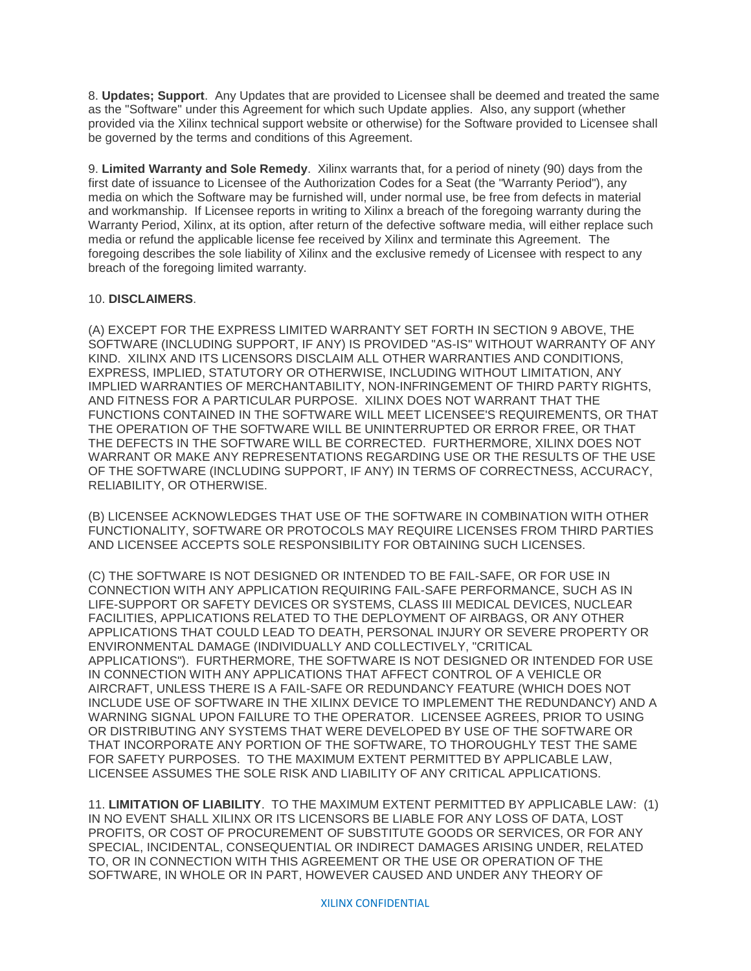8. **Updates; Support**. Any Updates that are provided to Licensee shall be deemed and treated the same as the "Software" under this Agreement for which such Update applies. Also, any support (whether provided via the Xilinx technical support website or otherwise) for the Software provided to Licensee shall be governed by the terms and conditions of this Agreement.

9. **Limited Warranty and Sole Remedy**. Xilinx warrants that, for a period of ninety (90) days from the first date of issuance to Licensee of the Authorization Codes for a Seat (the "Warranty Period"), any media on which the Software may be furnished will, under normal use, be free from defects in material and workmanship. If Licensee reports in writing to Xilinx a breach of the foregoing warranty during the Warranty Period, Xilinx, at its option, after return of the defective software media, will either replace such media or refund the applicable license fee received by Xilinx and terminate this Agreement. The foregoing describes the sole liability of Xilinx and the exclusive remedy of Licensee with respect to any breach of the foregoing limited warranty.

# 10. **DISCLAIMERS**.

(A) EXCEPT FOR THE EXPRESS LIMITED WARRANTY SET FORTH IN SECTION 9 ABOVE, THE SOFTWARE (INCLUDING SUPPORT, IF ANY) IS PROVIDED "AS-IS" WITHOUT WARRANTY OF ANY KIND. XILINX AND ITS LICENSORS DISCLAIM ALL OTHER WARRANTIES AND CONDITIONS, EXPRESS, IMPLIED, STATUTORY OR OTHERWISE, INCLUDING WITHOUT LIMITATION, ANY IMPLIED WARRANTIES OF MERCHANTABILITY, NON-INFRINGEMENT OF THIRD PARTY RIGHTS, AND FITNESS FOR A PARTICULAR PURPOSE. XILINX DOES NOT WARRANT THAT THE FUNCTIONS CONTAINED IN THE SOFTWARE WILL MEET LICENSEE'S REQUIREMENTS, OR THAT THE OPERATION OF THE SOFTWARE WILL BE UNINTERRUPTED OR ERROR FREE, OR THAT THE DEFECTS IN THE SOFTWARE WILL BE CORRECTED. FURTHERMORE, XILINX DOES NOT WARRANT OR MAKE ANY REPRESENTATIONS REGARDING USE OR THE RESULTS OF THE USE OF THE SOFTWARE (INCLUDING SUPPORT, IF ANY) IN TERMS OF CORRECTNESS, ACCURACY, RELIABILITY, OR OTHERWISE.

(B) LICENSEE ACKNOWLEDGES THAT USE OF THE SOFTWARE IN COMBINATION WITH OTHER FUNCTIONALITY, SOFTWARE OR PROTOCOLS MAY REQUIRE LICENSES FROM THIRD PARTIES AND LICENSEE ACCEPTS SOLE RESPONSIBILITY FOR OBTAINING SUCH LICENSES.

(C) THE SOFTWARE IS NOT DESIGNED OR INTENDED TO BE FAIL-SAFE, OR FOR USE IN CONNECTION WITH ANY APPLICATION REQUIRING FAIL-SAFE PERFORMANCE, SUCH AS IN LIFE-SUPPORT OR SAFETY DEVICES OR SYSTEMS, CLASS III MEDICAL DEVICES, NUCLEAR FACILITIES, APPLICATIONS RELATED TO THE DEPLOYMENT OF AIRBAGS, OR ANY OTHER APPLICATIONS THAT COULD LEAD TO DEATH, PERSONAL INJURY OR SEVERE PROPERTY OR ENVIRONMENTAL DAMAGE (INDIVIDUALLY AND COLLECTIVELY, "CRITICAL APPLICATIONS"). FURTHERMORE, THE SOFTWARE IS NOT DESIGNED OR INTENDED FOR USE IN CONNECTION WITH ANY APPLICATIONS THAT AFFECT CONTROL OF A VEHICLE OR AIRCRAFT, UNLESS THERE IS A FAIL-SAFE OR REDUNDANCY FEATURE (WHICH DOES NOT INCLUDE USE OF SOFTWARE IN THE XILINX DEVICE TO IMPLEMENT THE REDUNDANCY) AND A WARNING SIGNAL UPON FAILURE TO THE OPERATOR. LICENSEE AGREES, PRIOR TO USING OR DISTRIBUTING ANY SYSTEMS THAT WERE DEVELOPED BY USE OF THE SOFTWARE OR THAT INCORPORATE ANY PORTION OF THE SOFTWARE, TO THOROUGHLY TEST THE SAME FOR SAFETY PURPOSES. TO THE MAXIMUM EXTENT PERMITTED BY APPLICABLE LAW, LICENSEE ASSUMES THE SOLE RISK AND LIABILITY OF ANY CRITICAL APPLICATIONS.

11. **LIMITATION OF LIABILITY**. TO THE MAXIMUM EXTENT PERMITTED BY APPLICABLE LAW: (1) IN NO EVENT SHALL XILINX OR ITS LICENSORS BE LIABLE FOR ANY LOSS OF DATA, LOST PROFITS, OR COST OF PROCUREMENT OF SUBSTITUTE GOODS OR SERVICES, OR FOR ANY SPECIAL, INCIDENTAL, CONSEQUENTIAL OR INDIRECT DAMAGES ARISING UNDER, RELATED TO, OR IN CONNECTION WITH THIS AGREEMENT OR THE USE OR OPERATION OF THE SOFTWARE, IN WHOLE OR IN PART, HOWEVER CAUSED AND UNDER ANY THEORY OF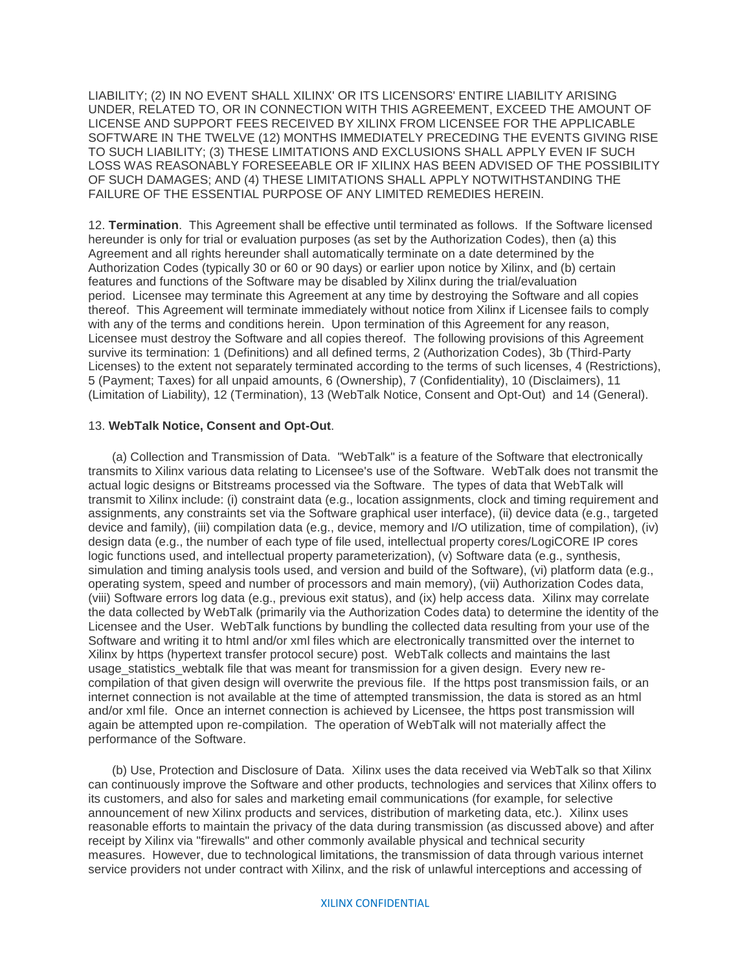LIABILITY; (2) IN NO EVENT SHALL XILINX' OR ITS LICENSORS' ENTIRE LIABILITY ARISING UNDER, RELATED TO, OR IN CONNECTION WITH THIS AGREEMENT, EXCEED THE AMOUNT OF LICENSE AND SUPPORT FEES RECEIVED BY XILINX FROM LICENSEE FOR THE APPLICABLE SOFTWARE IN THE TWELVE (12) MONTHS IMMEDIATELY PRECEDING THE EVENTS GIVING RISE TO SUCH LIABILITY; (3) THESE LIMITATIONS AND EXCLUSIONS SHALL APPLY EVEN IF SUCH LOSS WAS REASONABLY FORESEEABLE OR IF XILINX HAS BEEN ADVISED OF THE POSSIBILITY OF SUCH DAMAGES; AND (4) THESE LIMITATIONS SHALL APPLY NOTWITHSTANDING THE FAILURE OF THE ESSENTIAL PURPOSE OF ANY LIMITED REMEDIES HEREIN.

12. **Termination**. This Agreement shall be effective until terminated as follows. If the Software licensed hereunder is only for trial or evaluation purposes (as set by the Authorization Codes), then (a) this Agreement and all rights hereunder shall automatically terminate on a date determined by the Authorization Codes (typically 30 or 60 or 90 days) or earlier upon notice by Xilinx, and (b) certain features and functions of the Software may be disabled by Xilinx during the trial/evaluation period. Licensee may terminate this Agreement at any time by destroying the Software and all copies thereof. This Agreement will terminate immediately without notice from Xilinx if Licensee fails to comply with any of the terms and conditions herein. Upon termination of this Agreement for any reason, Licensee must destroy the Software and all copies thereof. The following provisions of this Agreement survive its termination: 1 (Definitions) and all defined terms, 2 (Authorization Codes), 3b (Third-Party Licenses) to the extent not separately terminated according to the terms of such licenses, 4 (Restrictions), 5 (Payment; Taxes) for all unpaid amounts, 6 (Ownership), 7 (Confidentiality), 10 (Disclaimers), 11 (Limitation of Liability), 12 (Termination), 13 (WebTalk Notice, Consent and Opt-Out) and 14 (General).

### 13. **WebTalk Notice, Consent and Opt-Out**.

(a) Collection and Transmission of Data. "WebTalk" is a feature of the Software that electronically transmits to Xilinx various data relating to Licensee's use of the Software. WebTalk does not transmit the actual logic designs or Bitstreams processed via the Software. The types of data that WebTalk will transmit to Xilinx include: (i) constraint data (e.g., location assignments, clock and timing requirement and assignments, any constraints set via the Software graphical user interface), (ii) device data (e.g., targeted device and family), (iii) compilation data (e.g., device, memory and I/O utilization, time of compilation), (iv) design data (e.g., the number of each type of file used, intellectual property cores/LogiCORE IP cores logic functions used, and intellectual property parameterization), (v) Software data (e.g., synthesis, simulation and timing analysis tools used, and version and build of the Software), (vi) platform data (e.g., operating system, speed and number of processors and main memory), (vii) Authorization Codes data, (viii) Software errors log data (e.g., previous exit status), and (ix) help access data. Xilinx may correlate the data collected by WebTalk (primarily via the Authorization Codes data) to determine the identity of the Licensee and the User. WebTalk functions by bundling the collected data resulting from your use of the Software and writing it to html and/or xml files which are electronically transmitted over the internet to Xilinx by https (hypertext transfer protocol secure) post. WebTalk collects and maintains the last usage statistics webtalk file that was meant for transmission for a given design. Every new recompilation of that given design will overwrite the previous file. If the https post transmission fails, or an internet connection is not available at the time of attempted transmission, the data is stored as an html and/or xml file. Once an internet connection is achieved by Licensee, the https post transmission will again be attempted upon re-compilation. The operation of WebTalk will not materially affect the performance of the Software.

(b) Use, Protection and Disclosure of Data. Xilinx uses the data received via WebTalk so that Xilinx can continuously improve the Software and other products, technologies and services that Xilinx offers to its customers, and also for sales and marketing email communications (for example, for selective announcement of new Xilinx products and services, distribution of marketing data, etc.). Xilinx uses reasonable efforts to maintain the privacy of the data during transmission (as discussed above) and after receipt by Xilinx via "firewalls" and other commonly available physical and technical security measures. However, due to technological limitations, the transmission of data through various internet service providers not under contract with Xilinx, and the risk of unlawful interceptions and accessing of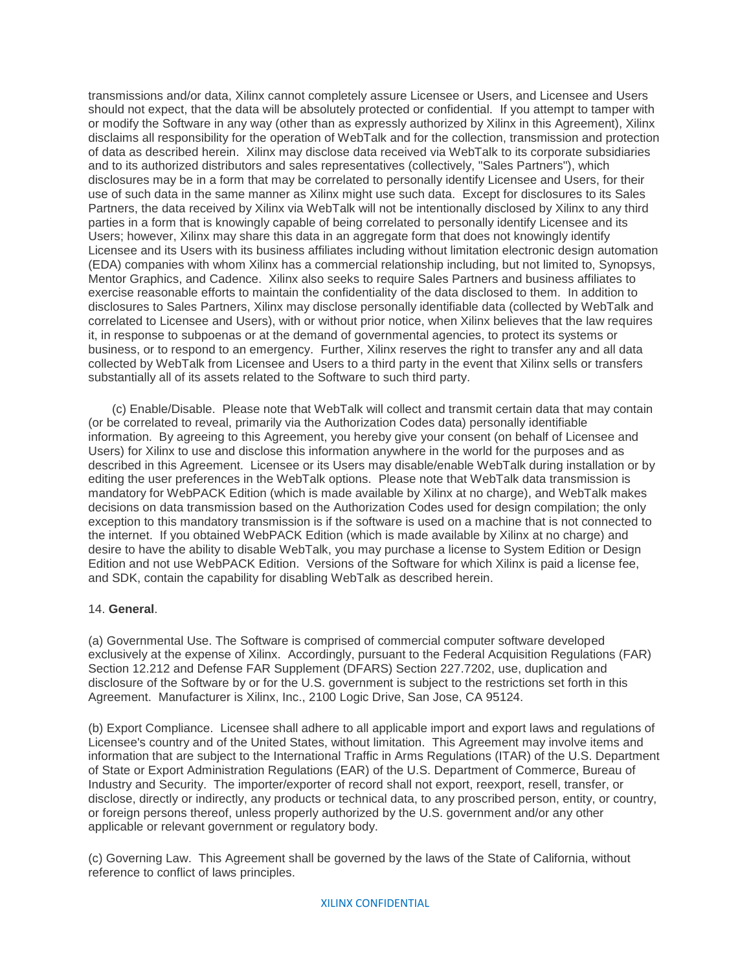transmissions and/or data, Xilinx cannot completely assure Licensee or Users, and Licensee and Users should not expect, that the data will be absolutely protected or confidential. If you attempt to tamper with or modify the Software in any way (other than as expressly authorized by Xilinx in this Agreement), Xilinx disclaims all responsibility for the operation of WebTalk and for the collection, transmission and protection of data as described herein. Xilinx may disclose data received via WebTalk to its corporate subsidiaries and to its authorized distributors and sales representatives (collectively, "Sales Partners"), which disclosures may be in a form that may be correlated to personally identify Licensee and Users, for their use of such data in the same manner as Xilinx might use such data. Except for disclosures to its Sales Partners, the data received by Xilinx via WebTalk will not be intentionally disclosed by Xilinx to any third parties in a form that is knowingly capable of being correlated to personally identify Licensee and its Users; however, Xilinx may share this data in an aggregate form that does not knowingly identify Licensee and its Users with its business affiliates including without limitation electronic design automation (EDA) companies with whom Xilinx has a commercial relationship including, but not limited to, Synopsys, Mentor Graphics, and Cadence. Xilinx also seeks to require Sales Partners and business affiliates to exercise reasonable efforts to maintain the confidentiality of the data disclosed to them. In addition to disclosures to Sales Partners, Xilinx may disclose personally identifiable data (collected by WebTalk and correlated to Licensee and Users), with or without prior notice, when Xilinx believes that the law requires it, in response to subpoenas or at the demand of governmental agencies, to protect its systems or business, or to respond to an emergency. Further, Xilinx reserves the right to transfer any and all data collected by WebTalk from Licensee and Users to a third party in the event that Xilinx sells or transfers substantially all of its assets related to the Software to such third party.

(c) Enable/Disable. Please note that WebTalk will collect and transmit certain data that may contain (or be correlated to reveal, primarily via the Authorization Codes data) personally identifiable information. By agreeing to this Agreement, you hereby give your consent (on behalf of Licensee and Users) for Xilinx to use and disclose this information anywhere in the world for the purposes and as described in this Agreement. Licensee or its Users may disable/enable WebTalk during installation or by editing the user preferences in the WebTalk options. Please note that WebTalk data transmission is mandatory for WebPACK Edition (which is made available by Xilinx at no charge), and WebTalk makes decisions on data transmission based on the Authorization Codes used for design compilation; the only exception to this mandatory transmission is if the software is used on a machine that is not connected to the internet. If you obtained WebPACK Edition (which is made available by Xilinx at no charge) and desire to have the ability to disable WebTalk, you may purchase a license to System Edition or Design Edition and not use WebPACK Edition. Versions of the Software for which Xilinx is paid a license fee, and SDK, contain the capability for disabling WebTalk as described herein.

### 14. **General**.

(a) Governmental Use. The Software is comprised of commercial computer software developed exclusively at the expense of Xilinx. Accordingly, pursuant to the Federal Acquisition Regulations (FAR) Section 12.212 and Defense FAR Supplement (DFARS) Section 227.7202, use, duplication and disclosure of the Software by or for the U.S. government is subject to the restrictions set forth in this Agreement. Manufacturer is Xilinx, Inc., 2100 Logic Drive, San Jose, CA 95124.

(b) Export Compliance. Licensee shall adhere to all applicable import and export laws and regulations of Licensee's country and of the United States, without limitation. This Agreement may involve items and information that are subject to the International Traffic in Arms Regulations (ITAR) of the U.S. Department of State or Export Administration Regulations (EAR) of the U.S. Department of Commerce, Bureau of Industry and Security. The importer/exporter of record shall not export, reexport, resell, transfer, or disclose, directly or indirectly, any products or technical data, to any proscribed person, entity, or country, or foreign persons thereof, unless properly authorized by the U.S. government and/or any other applicable or relevant government or regulatory body.

(c) Governing Law. This Agreement shall be governed by the laws of the State of California, without reference to conflict of laws principles.